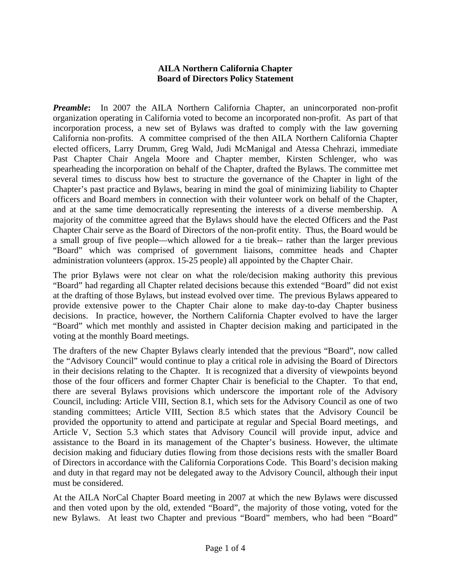## **AILA Northern California Chapter Board of Directors Policy Statement**

*Preamble*: In 2007 the AILA Northern California Chapter, an unincorporated non-profit organization operating in California voted to become an incorporated non-profit. As part of that incorporation process, a new set of Bylaws was drafted to comply with the law governing California non-profits. A committee comprised of the then AILA Northern California Chapter elected officers, Larry Drumm, Greg Wald, Judi McManigal and Atessa Chehrazi, immediate Past Chapter Chair Angela Moore and Chapter member, Kirsten Schlenger, who was spearheading the incorporation on behalf of the Chapter, drafted the Bylaws. The committee met several times to discuss how best to structure the governance of the Chapter in light of the Chapter's past practice and Bylaws, bearing in mind the goal of minimizing liability to Chapter officers and Board members in connection with their volunteer work on behalf of the Chapter, and at the same time democratically representing the interests of a diverse membership. A majority of the committee agreed that the Bylaws should have the elected Officers and the Past Chapter Chair serve as the Board of Directors of the non-profit entity. Thus, the Board would be a small group of five people—which allowed for a tie break-- rather than the larger previous "Board" which was comprised of government liaisons, committee heads and Chapter administration volunteers (approx. 15-25 people) all appointed by the Chapter Chair.

The prior Bylaws were not clear on what the role/decision making authority this previous "Board" had regarding all Chapter related decisions because this extended "Board" did not exist at the drafting of those Bylaws, but instead evolved over time. The previous Bylaws appeared to provide extensive power to the Chapter Chair alone to make day-to-day Chapter business decisions. In practice, however, the Northern California Chapter evolved to have the larger "Board" which met monthly and assisted in Chapter decision making and participated in the voting at the monthly Board meetings.

The drafters of the new Chapter Bylaws clearly intended that the previous "Board", now called the "Advisory Council" would continue to play a critical role in advising the Board of Directors in their decisions relating to the Chapter. It is recognized that a diversity of viewpoints beyond those of the four officers and former Chapter Chair is beneficial to the Chapter. To that end, there are several Bylaws provisions which underscore the important role of the Advisory Council, including: Article VIII, Section 8.1, which sets for the Advisory Council as one of two standing committees; Article VIII, Section 8.5 which states that the Advisory Council be provided the opportunity to attend and participate at regular and Special Board meetings, and Article V, Section 5.3 which states that Advisory Council will provide input, advice and assistance to the Board in its management of the Chapter's business. However, the ultimate decision making and fiduciary duties flowing from those decisions rests with the smaller Board of Directors in accordance with the California Corporations Code. This Board's decision making and duty in that regard may not be delegated away to the Advisory Council, although their input must be considered.

At the AILA NorCal Chapter Board meeting in 2007 at which the new Bylaws were discussed and then voted upon by the old, extended "Board", the majority of those voting, voted for the new Bylaws. At least two Chapter and previous "Board" members, who had been "Board"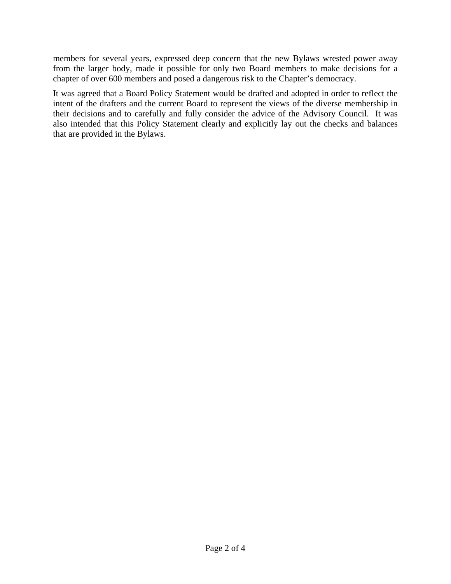members for several years, expressed deep concern that the new Bylaws wrested power away from the larger body, made it possible for only two Board members to make decisions for a chapter of over 600 members and posed a dangerous risk to the Chapter's democracy.

It was agreed that a Board Policy Statement would be drafted and adopted in order to reflect the intent of the drafters and the current Board to represent the views of the diverse membership in their decisions and to carefully and fully consider the advice of the Advisory Council. It was also intended that this Policy Statement clearly and explicitly lay out the checks and balances that are provided in the Bylaws.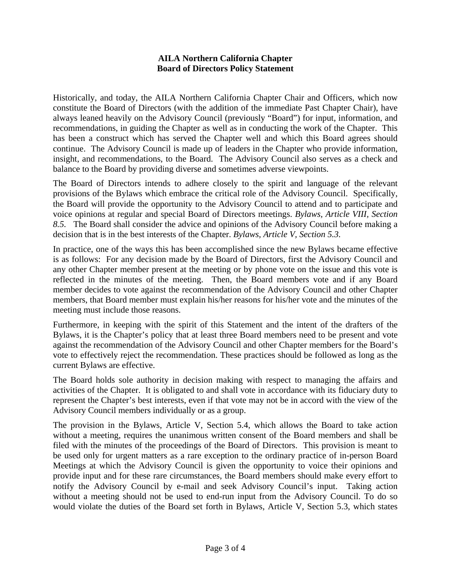## **AILA Northern California Chapter Board of Directors Policy Statement**

Historically, and today, the AILA Northern California Chapter Chair and Officers, which now constitute the Board of Directors (with the addition of the immediate Past Chapter Chair), have always leaned heavily on the Advisory Council (previously "Board") for input, information, and recommendations, in guiding the Chapter as well as in conducting the work of the Chapter. This has been a construct which has served the Chapter well and which this Board agrees should continue. The Advisory Council is made up of leaders in the Chapter who provide information, insight, and recommendations, to the Board. The Advisory Council also serves as a check and balance to the Board by providing diverse and sometimes adverse viewpoints.

The Board of Directors intends to adhere closely to the spirit and language of the relevant provisions of the Bylaws which embrace the critical role of the Advisory Council. Specifically, the Board will provide the opportunity to the Advisory Council to attend and to participate and voice opinions at regular and special Board of Directors meetings. *Bylaws, Article VIII, Section 8.5.* The Board shall consider the advice and opinions of the Advisory Council before making a decision that is in the best interests of the Chapter. *Bylaws, Article V, Section 5.3.*

In practice, one of the ways this has been accomplished since the new Bylaws became effective is as follows: For any decision made by the Board of Directors, first the Advisory Council and any other Chapter member present at the meeting or by phone vote on the issue and this vote is reflected in the minutes of the meeting. Then, the Board members vote and if any Board member decides to vote against the recommendation of the Advisory Council and other Chapter members, that Board member must explain his/her reasons for his/her vote and the minutes of the meeting must include those reasons.

Furthermore, in keeping with the spirit of this Statement and the intent of the drafters of the Bylaws, it is the Chapter's policy that at least three Board members need to be present and vote against the recommendation of the Advisory Council and other Chapter members for the Board's vote to effectively reject the recommendation. These practices should be followed as long as the current Bylaws are effective.

The Board holds sole authority in decision making with respect to managing the affairs and activities of the Chapter. It is obligated to and shall vote in accordance with its fiduciary duty to represent the Chapter's best interests, even if that vote may not be in accord with the view of the Advisory Council members individually or as a group.

The provision in the Bylaws, Article V, Section 5.4, which allows the Board to take action without a meeting, requires the unanimous written consent of the Board members and shall be filed with the minutes of the proceedings of the Board of Directors. This provision is meant to be used only for urgent matters as a rare exception to the ordinary practice of in-person Board Meetings at which the Advisory Council is given the opportunity to voice their opinions and provide input and for these rare circumstances, the Board members should make every effort to notify the Advisory Council by e-mail and seek Advisory Council's input. Taking action without a meeting should not be used to end-run input from the Advisory Council. To do so would violate the duties of the Board set forth in Bylaws, Article V, Section 5.3, which states